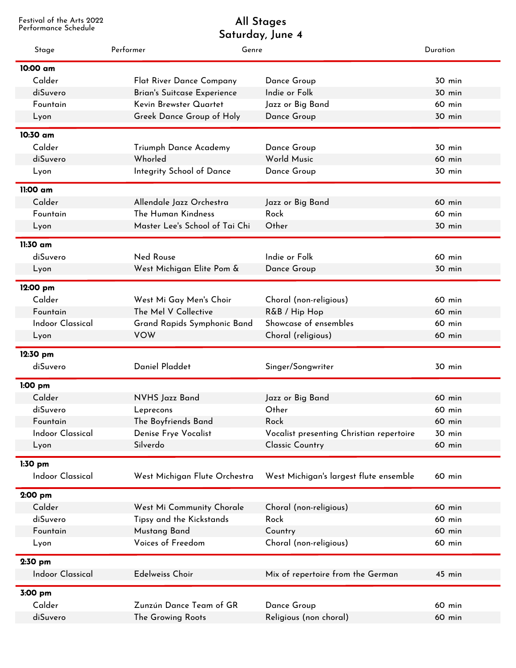Festival of the Arts 2022

## Performance Schedule **Saturday, June 4 All Stages**

| Stage                   | Performer                      | Genre                                    | Duration      |
|-------------------------|--------------------------------|------------------------------------------|---------------|
| 10:00 am                |                                |                                          |               |
| Calder                  | Flat River Dance Company       | Dance Group                              | 30 min        |
| diSuvero                | Brian's Suitcase Experience    | Indie or Folk                            | <b>30 min</b> |
| Fountain                | Kevin Brewster Quartet         | Jazz or Big Band                         | 60 min        |
| Lyon                    | Greek Dance Group of Holy      | Dance Group                              | 30 min        |
| 10:30 am                |                                |                                          |               |
| Calder                  | Triumph Dance Academy          | Dance Group                              | 30 min        |
| diSuvero                | Whorled                        | World Music                              | 60 min        |
| Lyon                    | Integrity School of Dance      | Dance Group                              | 30 min        |
| 11:00 am                |                                |                                          |               |
| Calder                  | Allendale Jazz Orchestra       | Jazz or Big Band                         | 60 min        |
| Fountain                | The Human Kindness             | Rock                                     | 60 min        |
|                         | Master Lee's School of Tai Chi | Other                                    | 30 min        |
| Lyon                    |                                |                                          |               |
| 11:30 am                |                                |                                          |               |
| diSuvero                | <b>Ned Rouse</b>               | Indie or Folk                            | 60 min        |
| Lyon                    | West Michigan Elite Pom &      | Dance Group                              | 30 min        |
| 12:00 pm                |                                |                                          |               |
| Calder                  | West Mi Gay Men's Choir        | Choral (non-religious)                   | 60 min        |
| Fountain                | The Mel V Collective           | R&B / Hip Hop                            | 60 min        |
| <b>Indoor Classical</b> | Grand Rapids Symphonic Band    | Showcase of ensembles                    | 60 min        |
| Lyon                    | <b>VOW</b>                     | Choral (religious)                       | 60 min        |
| 12:30 pm                |                                |                                          |               |
| diSuvero                | Daniel Pladdet                 | Singer/Songwriter                        | 30 min        |
| $1:00$ pm               |                                |                                          |               |
| Calder                  | NVHS Jazz Band                 | Jazz or Big Band                         | 60 min        |
| diSuvero                | Leprecons                      | Other                                    | 60 min        |
| Fountain                | The Boyfriends Band            | Rock                                     | 60 min        |
| <b>Indoor Classical</b> | Denise Frye Vocalist           | Vocalist presenting Christian repertoire | 30 min        |
| Lyon                    | Silverdo                       | <b>Classic Country</b>                   | 60 min        |
|                         |                                |                                          |               |
| $1:30$ pm               |                                |                                          |               |
| <b>Indoor Classical</b> | West Michigan Flute Orchestra  | West Michigan's largest flute ensemble   | 60 min        |
| 2:00 pm                 |                                |                                          |               |
| Calder                  | West Mi Community Chorale      | Choral (non-religious)                   | 60 min        |
| diSuvero                | Tipsy and the Kickstands       | Rock                                     | 60 min        |
| Fountain                | Mustang Band                   | Country                                  | 60 min        |
| Lyon                    | Voices of Freedom              | Choral (non-religious)                   | 60 min        |
| $2:30$ pm               |                                |                                          |               |
| <b>Indoor Classical</b> | <b>Edelweiss Choir</b>         | Mix of repertoire from the German        | 45 min        |
| 3:00 pm                 |                                |                                          |               |
| Calder                  | Zunzún Dance Team of GR        | Dance Group                              | 60 min        |
| diSuvero                | The Growing Roots              | Religious (non choral)                   | 60 min        |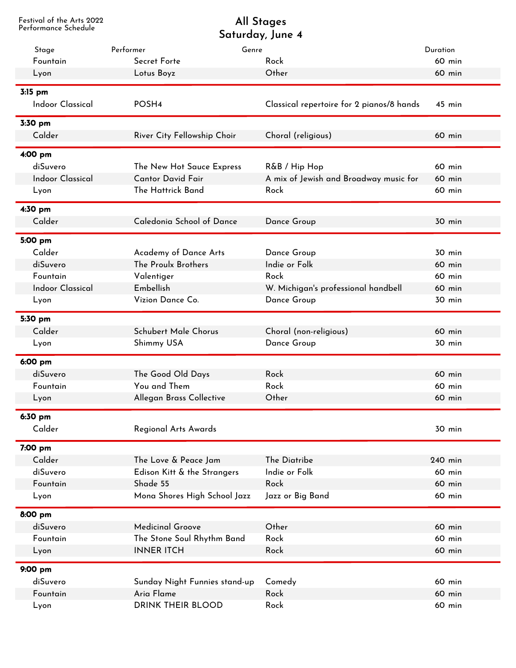Festival of the Arts 2022

## Performance Schedule **Saturday, June 4 All Stages**

| Stage                   | Performer<br>Genre            |                                           | Duration |
|-------------------------|-------------------------------|-------------------------------------------|----------|
| Fountain                | Secret Forte                  | Rock                                      | 60 min   |
| Lyon                    | Lotus Boyz                    | Other                                     | 60 min   |
| 3:15 pm                 |                               |                                           |          |
| <b>Indoor Classical</b> | POSH4                         | Classical repertoire for 2 pianos/8 hands | $45$ min |
| 3:30 pm                 |                               |                                           |          |
| Calder                  | River City Fellowship Choir   | Choral (religious)                        | 60 min   |
| 4:00 pm                 |                               |                                           |          |
| diSuvero                | The New Hot Sauce Express     | R&B / Hip Hop                             | 60 min   |
| <b>Indoor Classical</b> | <b>Cantor David Fair</b>      | A mix of Jewish and Broadway music for    | 60 min   |
| Lyon                    | The Hattrick Band             | Rock                                      | 60 min   |
| 4:30 pm                 |                               |                                           |          |
| Calder                  | Caledonia School of Dance     | Dance Group                               | 30 min   |
| 5:00 pm                 |                               |                                           |          |
| Calder                  | Academy of Dance Arts         | Dance Group                               | 30 min   |
| diSuvero                | The Proulx Brothers           | Indie or Folk                             | 60 min   |
| Fountain                | Valentiger                    | Rock                                      | 60 min   |
| <b>Indoor Classical</b> | Embellish                     | W. Michigan's professional handbell       | 60 min   |
| Lyon                    | Vizion Dance Co.              | Dance Group                               | 30 min   |
| 5:30 pm                 |                               |                                           |          |
| Calder                  | <b>Schubert Male Chorus</b>   | Choral (non-religious)                    | 60 min   |
| Lyon                    | Shimmy USA                    | Dance Group                               | 30 min   |
| 6:00 pm                 |                               |                                           |          |
| diSuvero                | The Good Old Days             | Rock                                      | 60 min   |
| Fountain                | You and Them                  | Rock                                      | 60 min   |
| Lyon                    | Allegan Brass Collective      | Other                                     | 60 min   |
| 6:30 pm                 |                               |                                           |          |
| Calder                  | Regional Arts Awards          |                                           | 30 min   |
| 7:00 pm                 |                               |                                           |          |
| Calder                  | The Love & Peace Jam          | The Diatribe                              | 240 min  |
| diSuvero                | Edison Kitt & the Strangers   | Indie or Folk                             | 60 min   |
| Fountain                | Shade 55                      | Rock                                      | 60 min   |
| Lyon                    | Mona Shores High School Jazz  | Jazz or Big Band                          | 60 min   |
| 8:00 pm                 |                               |                                           |          |
| diSuvero                | <b>Medicinal Groove</b>       | Other                                     | 60 min   |
| Fountain                | The Stone Soul Rhythm Band    | Rock                                      | 60 min   |
| Lyon                    | <b>INNER ITCH</b>             | Rock                                      | 60 min   |
| 9:00 pm                 |                               |                                           |          |
| diSuvero                | Sunday Night Funnies stand-up | Comedy                                    | 60 min   |
| Fountain                | Aria Flame                    | Rock                                      | 60 min   |
| Lyon                    | <b>DRINK THEIR BLOOD</b>      | Rock                                      | 60 min   |
|                         |                               |                                           |          |